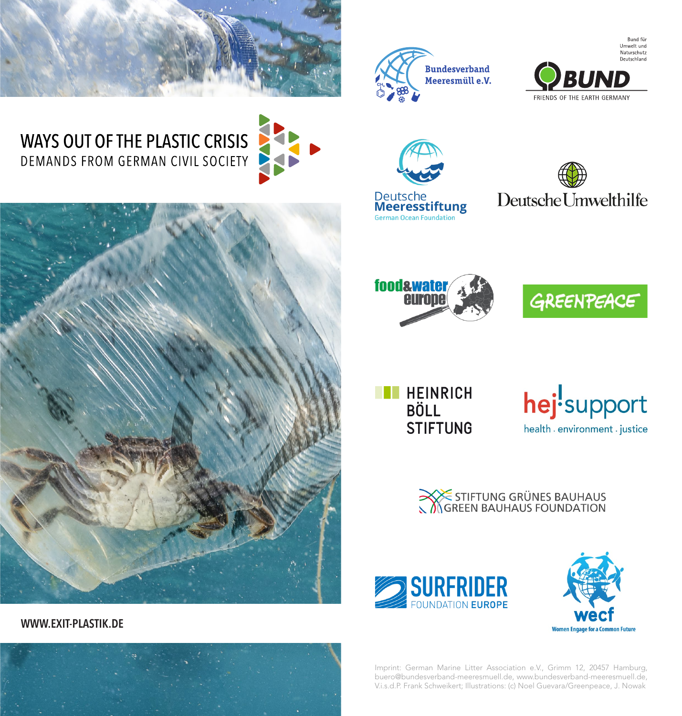

### **WAYS OUT OF THE PLASTIC CRISIS** DEMANDS FROM GERMAN CIVIL SOCIETY



**Bundesverband** Meeresmüll e.V.



**Bund für** 









**THEINRICH** BÖLL **STIFTUNG** 



SE STIFTUNG GRÜNES BAUHAUS





Imprint: German Marine Litter Association e.V., Grimm 12, 20457 Hamburg, buero@bundesverband-meeresmuell.de, www.bundesverband-meeresmuell.de, V.i.s.d.P. Frank Schweikert; Illustrations: (c) Noel Guevara/Greenpeace, J. Nowak

WWW.EXIT-PLASTIK.DE

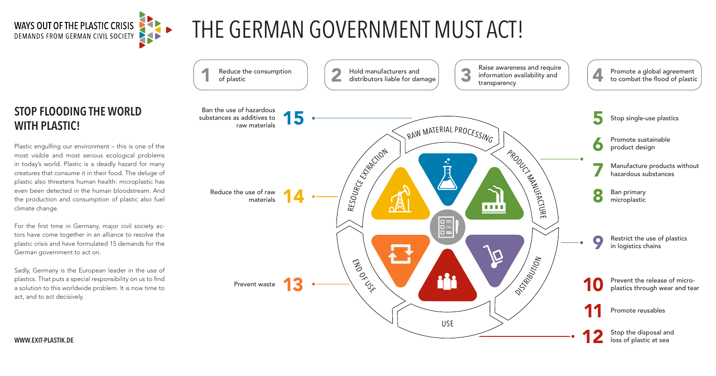

# THE GERMAN GOVERNMENT MUST ACT!



Plastic engulfing our environment – this is one of the most visible and most serious ecological problems in today's world. Plastic is a deadly hazard for many creatures that consume it in their food. The deluge of plastic also threatens human health: microplastic has even been detected in the human bloodstream. And the production and consumption of plastic also fuel climate change.



For the first time in Germany, major civil society actors have come together in an alliance to resolve the plastic crisis and have formulated 15 demands for the German government to act on.

> Prevent the release of microplastics through wear and tear

Promote reusables

Stop the disposal and<br>loss of plastic at sea

Sadly, Germany is the European leader in the use of plastics. That puts a special responsibility on us to find a solution to this worldwide problem. It is now time to act, and to act decisively.

### Promote a global agreement<br>to combat the flood of plastic



5 Stop single-use plastics



Promote sustainable<br> **O** product design



Manufacture products without<br>hazardous substances

**8** Ban primary<br>**8** microplastic



Restrict the use of plastics<br>in logistics chains